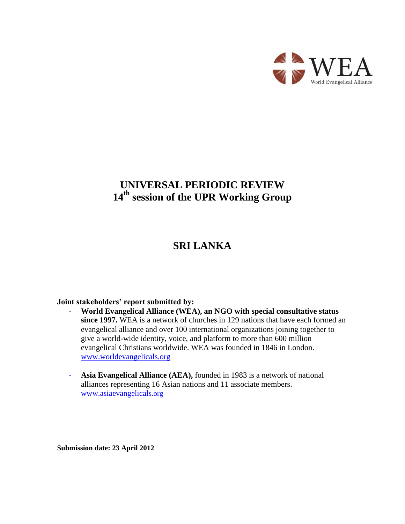

# **UNIVERSAL PERIODIC REVIEW 14th session of the UPR Working Group**

# **SRI LANKA**

#### **Joint stakeholders' report submitted by:**

- **World Evangelical Alliance (WEA), an NGO with special consultative status since 1997.** WEA is a network of churches in 129 nations that have each formed an evangelical alliance and over 100 international organizations joining together to give a world-wide identity, voice, and platform to more than 600 million evangelical Christians worldwide. WEA was founded in 1846 in London. [www.worldevangelicals.org](http://www.worldevangelicals.org/)
- **Asia Evangelical Alliance (AEA),** founded in 1983 is a network of national alliances representing 16 Asian nations and 11 associate members. [www.a](http://www./)siaevangelicals.org

**Submission date: 23 April 2012**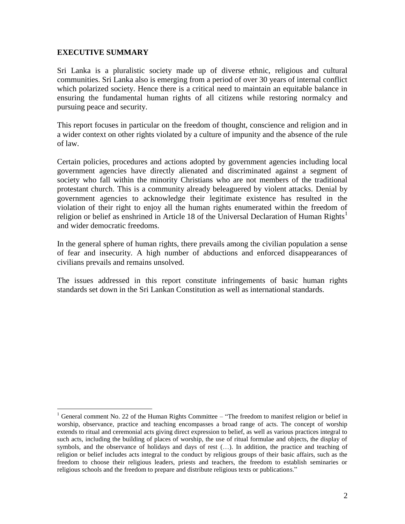#### **EXECUTIVE SUMMARY**

 $\overline{a}$ 

Sri Lanka is a pluralistic society made up of diverse ethnic, religious and cultural communities. Sri Lanka also is emerging from a period of over 30 years of internal conflict which polarized society. Hence there is a critical need to maintain an equitable balance in ensuring the fundamental human rights of all citizens while restoring normalcy and pursuing peace and security.

This report focuses in particular on the freedom of thought, conscience and religion and in a wider context on other rights violated by a culture of impunity and the absence of the rule of law.

Certain policies, procedures and actions adopted by government agencies including local government agencies have directly alienated and discriminated against a segment of society who fall within the minority Christians who are not members of the traditional protestant church. This is a community already beleaguered by violent attacks. Denial by government agencies to acknowledge their legitimate existence has resulted in the violation of their right to enjoy all the human rights enumerated within the freedom of religion or belief as enshrined in Article 18 of the Universal Declaration of Human Rights<sup>1</sup> and wider democratic freedoms.

In the general sphere of human rights, there prevails among the civilian population a sense of fear and insecurity. A high number of abductions and enforced disappearances of civilians prevails and remains unsolved.

The issues addressed in this report constitute infringements of basic human rights standards set down in the Sri Lankan Constitution as well as international standards.

<sup>&</sup>lt;sup>1</sup> General comment No. 22 of the Human Rights Committee – "The freedom to manifest religion or belief in worship, observance, practice and teaching encompasses a broad range of acts. The concept of worship extends to ritual and ceremonial acts giving direct expression to belief, as well as various practices integral to such acts, including the building of places of worship, the use of ritual formulae and objects, the display of symbols, and the observance of holidays and days of rest (…). In addition, the practice and teaching of religion or belief includes acts integral to the conduct by religious groups of their basic affairs, such as the freedom to choose their religious leaders, priests and teachers, the freedom to establish seminaries or religious schools and the freedom to prepare and distribute religious texts or publications."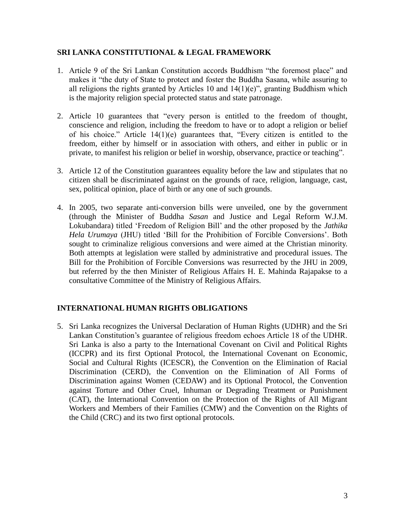### **SRI LANKA CONSTITUTIONAL & LEGAL FRAMEWORK**

- 1. Article 9 of the Sri Lankan Constitution accords Buddhism "the foremost place" and makes it "the duty of State to protect and foster the Buddha Sasana, while assuring to all religions the rights granted by Articles 10 and  $14(1)(e)$ ", granting Buddhism which is the majority religion special protected status and state patronage.
- 2. Article 10 guarantees that "every person is entitled to the freedom of thought, conscience and religion, including the freedom to have or to adopt a religion or belief of his choice." Article 14(1)(e) guarantees that, "Every citizen is entitled to the freedom, either by himself or in association with others, and either in public or in private, to manifest his religion or belief in worship, observance, practice or teaching".
- 3. Article 12 of the Constitution guarantees equality before the law and stipulates that no citizen shall be discriminated against on the grounds of race, religion, language, cast, sex, political opinion, place of birth or any one of such grounds.
- 4. In 2005, two separate anti-conversion bills were unveiled, one by the government (through the Minister of Buddha *Sasan* and Justice and Legal Reform W.J.M. Lokubandara) titled "Freedom of Religion Bill" and the other proposed by the *Jathika Hela Urumaya* (JHU) titled "Bill for the Prohibition of Forcible Conversions". Both sought to criminalize religious conversions and were aimed at the Christian minority. Both attempts at legislation were stalled by administrative and procedural issues. The Bill for the Prohibition of Forcible Conversions was resurrected by the JHU in 2009, but referred by the then Minister of Religious Affairs H. E. Mahinda Rajapakse to a consultative Committee of the Ministry of Religious Affairs.

### **INTERNATIONAL HUMAN RIGHTS OBLIGATIONS**

5. Sri Lanka recognizes the Universal Declaration of Human Rights (UDHR) and the Sri Lankan Constitution"s guarantee of religious freedom echoes Article 18 of the UDHR. Sri Lanka is also a party to the International Covenant on Civil and Political Rights (ICCPR) and its first Optional Protocol, the International Covenant on Economic, Social and Cultural Rights (ICESCR), the Convention on the Elimination of Racial Discrimination (CERD), the Convention on the Elimination of All Forms of Discrimination against Women (CEDAW) and its Optional Protocol, the Convention against Torture and Other Cruel, Inhuman or Degrading Treatment or Punishment (CAT), the International Convention on the Protection of the Rights of All Migrant Workers and Members of their Families (CMW) and the Convention on the Rights of the Child (CRC) and its two first optional protocols.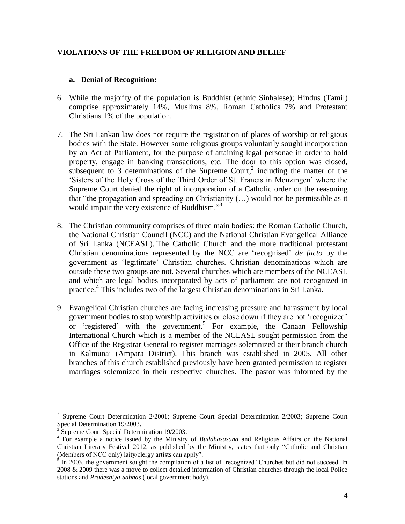### **VIOLATIONS OF THE FREEDOM OF RELIGION AND BELIEF**

#### **a. Denial of Recognition:**

- 6. While the majority of the population is Buddhist (ethnic Sinhalese); Hindus (Tamil) comprise approximately 14%, Muslims 8%, Roman Catholics 7% and Protestant Christians 1% of the population.
- 7. The Sri Lankan law does not require the registration of places of worship or religious bodies with the State. However some religious groups voluntarily sought incorporation by an Act of Parliament, for the purpose of attaining legal personae in order to hold property, engage in banking transactions, etc. The door to this option was closed, subsequent to  $\overline{3}$  determinations of the Supreme Court,<sup>2</sup> including the matter of the "Sisters of the Holy Cross of the Third Order of St. Francis in Menzingen" where the Supreme Court denied the right of incorporation of a Catholic order on the reasoning that "the propagation and spreading on Christianity (…) would not be permissible as it would impair the very existence of Buddhism."<sup>3</sup>
- 8. The Christian community comprises of three main bodies: the Roman Catholic Church, the National Christian Council (NCC) and the National Christian Evangelical Alliance of Sri Lanka (NCEASL). The Catholic Church and the more traditional protestant Christian denominations represented by the NCC are "recognised" *de facto* by the government as "legitimate" Christian churches. Christian denominations which are outside these two groups are not. Several churches which are members of the NCEASL and which are legal bodies incorporated by acts of parliament are not recognized in practice. 4 This includes two of the largest Christian denominations in Sri Lanka.
- 9. Evangelical Christian churches are facing increasing pressure and harassment by local government bodies to stop worship activities or close down if they are not "recognized" or 'registered' with the government.<sup>5</sup> For example, the Canaan Fellowship International Church which is a member of the NCEASL sought permission from the Office of the Registrar General to register marriages solemnized at their branch church in Kalmunai (Ampara District). This branch was established in 2005. All other branches of this church established previously have been granted permission to register marriages solemnized in their respective churches. The pastor was informed by the

<sup>2</sup> Supreme Court Determination 2/2001; Supreme Court Special Determination 2/2003; Supreme Court Special Determination 19/2003.

<sup>&</sup>lt;sup>3</sup> Supreme Court Special Determination 19/2003.

<sup>4</sup> For example a notice issued by the Ministry of *Buddhasasana* and Religious Affairs on the National Christian Literary Festival 2012, as published by the Ministry, states that only "Catholic and Christian (Members of NCC only) laity/clergy artists can apply".

 $\frac{1}{5}$  In 2003, the government sought the compilation of a list of 'recognized' Churches but did not succeed. In 2008 & 2009 there was a move to collect detailed information of Christian churches through the local Police stations and *Pradeshiya Sabhas* (local government body).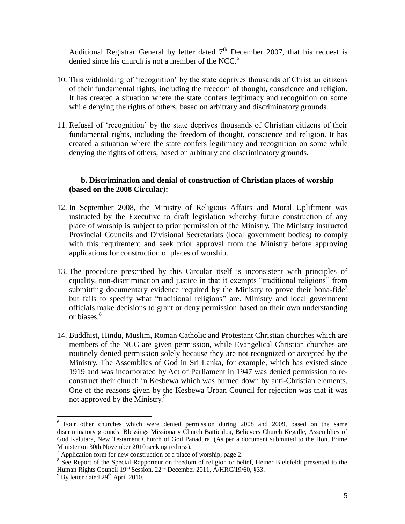Additional Registrar General by letter dated  $7<sup>th</sup>$  December 2007, that his request is denied since his church is not a member of the NCC. $<sup>6</sup>$ </sup>

- 10. This withholding of "recognition" by the state deprives thousands of Christian citizens of their fundamental rights, including the freedom of thought, conscience and religion. It has created a situation where the state confers legitimacy and recognition on some while denying the rights of others, based on arbitrary and discriminatory grounds.
- 11. Refusal of "recognition" by the state deprives thousands of Christian citizens of their fundamental rights, including the freedom of thought, conscience and religion. It has created a situation where the state confers legitimacy and recognition on some while denying the rights of others, based on arbitrary and discriminatory grounds.

### **b. Discrimination and denial of construction of Christian places of worship (based on the 2008 Circular):**

- 12. In September 2008, the Ministry of Religious Affairs and Moral Upliftment was instructed by the Executive to draft legislation whereby future construction of any place of worship is subject to prior permission of the Ministry. The Ministry instructed Provincial Councils and Divisional Secretariats (local government bodies) to comply with this requirement and seek prior approval from the Ministry before approving applications for construction of places of worship.
- 13. The procedure prescribed by this Circular itself is inconsistent with principles of equality, non-discrimination and justice in that it exempts "traditional religions" from submitting documentary evidence required by the Ministry to prove their bona-fide<sup>7</sup> but fails to specify what "traditional religions" are. Ministry and local government officials make decisions to grant or deny permission based on their own understanding or biases.<sup>8</sup>
- 14. Buddhist, Hindu, Muslim, Roman Catholic and Protestant Christian churches which are members of the NCC are given permission, while Evangelical Christian churches are routinely denied permission solely because they are not recognized or accepted by the Ministry. The Assemblies of God in Sri Lanka, for example, which has existed since 1919 and was incorporated by Act of Parliament in 1947 was denied permission to reconstruct their church in Kesbewa which was burned down by anti-Christian elements. One of the reasons given by the Kesbewa Urban Council for rejection was that it was not approved by the Ministry.<sup>9</sup>

<sup>&</sup>lt;sup>6</sup> Four other churches which were denied permission during 2008 and 2009, based on the same discriminatory grounds: Blessings Missionary Church Batticaloa, Believers Church Kegalle, Assemblies of God Kalutara, New Testament Church of God Panadura. (As per a document submitted to the Hon. Prime Minister on 30th November 2010 seeking redress).

 $^7$  Application form for new construction of a place of worship, page 2.

<sup>&</sup>lt;sup>8</sup> See Report of the Special Rapporteur on freedom of religion or belief, Heiner Bielefeldt presented to the Human Rights Council 19<sup>th</sup> Session, 22<sup>nd</sup> December 2011, A/HRC/19/60, §33.

 $9^9$  By letter dated 29<sup>th</sup> April 2010.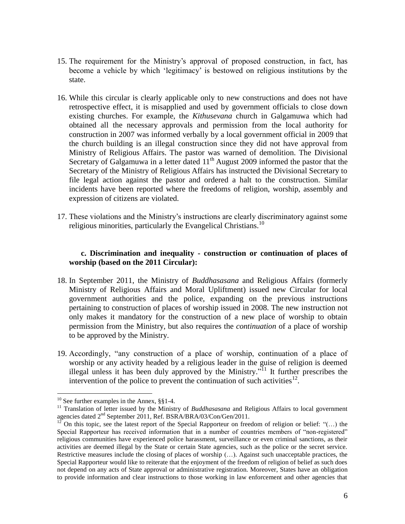- 15. The requirement for the Ministry"s approval of proposed construction, in fact, has become a vehicle by which "legitimacy" is bestowed on religious institutions by the state.
- 16. While this circular is clearly applicable only to new constructions and does not have retrospective effect, it is misapplied and used by government officials to close down existing churches. For example, the *Kithusevana* church in Galgamuwa which had obtained all the necessary approvals and permission from the local authority for construction in 2007 was informed verbally by a local government official in 2009 that the church building is an illegal construction since they did not have approval from Ministry of Religious Affairs. The pastor was warned of demolition. The Divisional Secretary of Galgamuwa in a letter dated  $11<sup>th</sup>$  August 2009 informed the pastor that the Secretary of the Ministry of Religious Affairs has instructed the Divisional Secretary to file legal action against the pastor and ordered a halt to the construction. Similar incidents have been reported where the freedoms of religion, worship, assembly and expression of citizens are violated.
- 17. These violations and the Ministry"s instructions are clearly discriminatory against some religious minorities, particularly the Evangelical Christians.<sup>10</sup>

#### **c. Discrimination and inequality - construction or continuation of places of worship (based on the 2011 Circular):**

- 18. In September 2011, the Ministry of *Buddhasasana* and Religious Affairs (formerly Ministry of Religious Affairs and Moral Upliftment) issued new Circular for local government authorities and the police, expanding on the previous instructions pertaining to construction of places of worship issued in 2008. The new instruction not only makes it mandatory for the construction of a new place of worship to obtain permission from the Ministry, but also requires the *continuation* of a place of worship to be approved by the Ministry.
- 19. Accordingly, "any construction of a place of worship, continuation of a place of worship or any activity headed by a religious leader in the guise of religion is deemed illegal unless it has been duly approved by the Ministry.<sup>711</sup> It further prescribes the intervention of the police to prevent the continuation of such activities $^{12}$ .

<sup>&</sup>lt;sup>10</sup> See further examples in the Annex,  $\S$ §1-4.

<sup>&</sup>lt;sup>11</sup> Translation of letter issued by the Ministry of *Buddhasasana* and Religious Affairs to local government agencies dated 2<sup>nd</sup> September 2011, Ref. BSRA/BRA/03/Con/Gen/2011.

 $12^{\circ}$  On this topic, see the latest report of the Special Rapporteur on freedom of religion or belief: "(...) the Special Rapporteur has received information that in a number of countries members of "non-registered" religious communities have experienced police harassment, surveillance or even criminal sanctions, as their activities are deemed illegal by the State or certain State agencies, such as the police or the secret service. Restrictive measures include the closing of places of worship (…). Against such unacceptable practices, the Special Rapporteur would like to reiterate that the enjoyment of the freedom of religion of belief as such does not depend on any acts of State approval or administrative registration. Moreover, States have an obligation to provide information and clear instructions to those working in law enforcement and other agencies that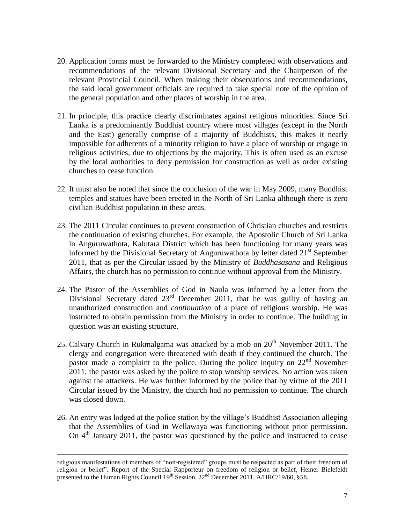- 20. Application forms must be forwarded to the Ministry completed with observations and recommendations of the relevant Divisional Secretary and the Chairperson of the relevant Provincial Council. When making their observations and recommendations, the said local government officials are required to take special note of the opinion of the general population and other places of worship in the area.
- 21. In principle, this practice clearly discriminates against religious minorities. Since Sri Lanka is a predominantly Buddhist country where most villages (except in the North and the East) generally comprise of a majority of Buddhists, this makes it nearly impossible for adherents of a minority religion to have a place of worship or engage in religious activities, due to objections by the majority. This is often used as an excuse by the local authorities to deny permission for construction as well as order existing churches to cease function.
- 22. It must also be noted that since the conclusion of the war in May 2009, many Buddhist temples and statues have been erected in the North of Sri Lanka although there is zero civilian Buddhist population in these areas.
- 23. The 2011 Circular continues to prevent construction of Christian churches and restricts the continuation of existing churches. For example, the Apostolic Church of Sri Lanka in Anguruwathota, Kalutara District which has been functioning for many years was informed by the Divisional Secretary of Anguruwathota by letter dated  $21<sup>st</sup>$  September 2011, that as per the Circular issued by the Ministry of *Buddhasasana* and Religious Affairs, the church has no permission to continue without approval from the Ministry.
- 24. The Pastor of the Assemblies of God in Naula was informed by a letter from the Divisional Secretary dated  $23<sup>rd</sup>$  December 2011, that he was guilty of having an unauthorized construction and *continuation* of a place of religious worship. He was instructed to obtain permission from the Ministry in order to continue. The building in question was an existing structure.
- 25. Calvary Church in Rukmalgama was attacked by a mob on  $20<sup>th</sup>$  November 2011. The clergy and congregation were threatened with death if they continued the church. The pastor made a complaint to the police. During the police inquiry on  $22<sup>nd</sup>$  November 2011, the pastor was asked by the police to stop worship services. No action was taken against the attackers. He was further informed by the police that by virtue of the 2011 Circular issued by the Ministry, the church had no permission to continue. The church was closed down.
- 26. An entry was lodged at the police station by the village"s Buddhist Association alleging that the Assemblies of God in Wellawaya was functioning without prior permission. On  $4<sup>th</sup>$  January 2011, the pastor was questioned by the police and instructed to cease

religious manifestations of members of "non-registered" groups must be respected as part of their freedom of religion or belief". Report of the Special Rapporteur on freedom of religion or belief, Heiner Bielefeldt presented to the Human Rights Council  $19^{th}$  Session,  $22^{nd}$  December 2011, A/HRC/19/60, §58.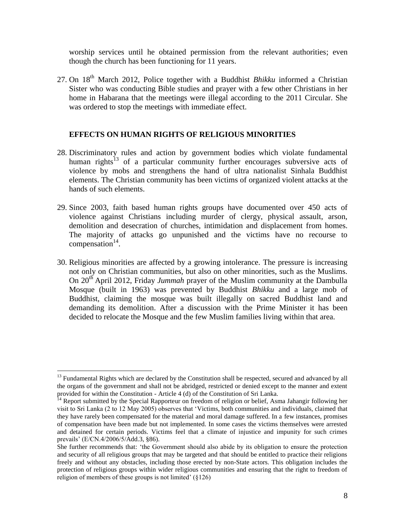worship services until he obtained permission from the relevant authorities; even though the church has been functioning for 11 years.

27. On 18th March 2012, Police together with a Buddhist *Bhikku* informed a Christian Sister who was conducting Bible studies and prayer with a few other Christians in her home in Habarana that the meetings were illegal according to the 2011 Circular. She was ordered to stop the meetings with immediate effect.

#### **EFFECTS ON HUMAN RIGHTS OF RELIGIOUS MINORITIES**

- 28. Discriminatory rules and action by government bodies which violate fundamental human rights<sup>13</sup> of a particular community further encourages subversive acts of violence by mobs and strengthens the hand of ultra nationalist Sinhala Buddhist elements. The Christian community has been victims of organized violent attacks at the hands of such elements.
- 29. Since 2003, faith based human rights groups have documented over 450 acts of violence against Christians including murder of clergy, physical assault, arson, demolition and desecration of churches, intimidation and displacement from homes. The majority of attacks go unpunished and the victims have no recourse to  $compensation<sup>14</sup>$ .
- 30. Religious minorities are affected by a growing intolerance. The pressure is increasing not only on Christian communities, but also on other minorities, such as the Muslims. On 20<sup>th</sup> April 2012, Friday *Jummah* prayer of the Muslim community at the Dambulla Mosque (built in 1963) was prevented by Buddhist *Bhikku* and a large mob of Buddhist, claiming the mosque was built illegally on sacred Buddhist land and demanding its demolition. After a discussion with the Prime Minister it has been decided to relocate the Mosque and the few Muslim families living within that area.

<sup>&</sup>lt;sup>13</sup> Fundamental Rights which are declared by the Constitution shall be respected, secured and advanced by all the organs of the government and shall not be abridged, restricted or denied except to the manner and extent provided for within the Constitution - Article 4 (d) of the Constitution of Sri Lanka.

<sup>&</sup>lt;sup>14</sup> Report submitted by the Special Rapporteur on freedom of religion or belief, Asma Jahangir following her visit to Sri Lanka (2 to 12 May 2005) observes that "Victims, both communities and individuals, claimed that they have rarely been compensated for the material and moral damage suffered. In a few instances, promises of compensation have been made but not implemented. In some cases the victims themselves were arrested and detained for certain periods. Victims feel that a climate of injustice and impunity for such crimes prevails" (E/CN.4/2006/5/Add.3, §86).

She further recommends that: "the Government should also abide by its obligation to ensure the protection and security of all religious groups that may be targeted and that should be entitled to practice their religions freely and without any obstacles, including those erected by non-State actors. This obligation includes the protection of religious groups within wider religious communities and ensuring that the right to freedom of religion of members of these groups is not limited'  $(\S126)$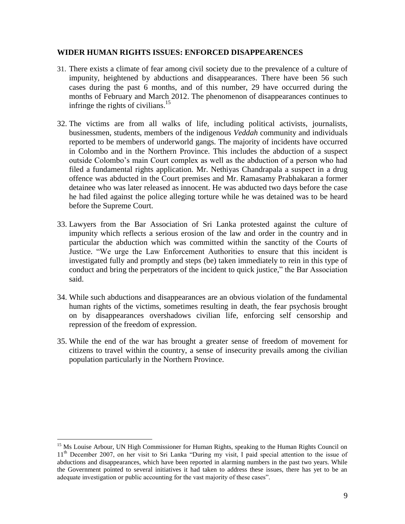#### **WIDER HUMAN RIGHTS ISSUES: ENFORCED DISAPPEARENCES**

- 31. There exists a climate of fear among civil society due to the prevalence of a culture of impunity, heightened by abductions and disappearances. There have been 56 such cases during the past 6 months, and of this number, 29 have occurred during the months of February and March 2012. The phenomenon of disappearances continues to infringe the rights of civilians. 15
- 32. The victims are from all walks of life, including political activists, journalists, businessmen, students, members of the indigenous *Veddah* community and individuals reported to be members of underworld gangs. The majority of incidents have occurred in Colombo and in the Northern Province. This includes the abduction of a suspect outside Colombo"s main Court complex as well as the abduction of a person who had filed a fundamental rights application. Mr. Nethiyas Chandrapala a suspect in a drug offence was abducted in the Court premises and Mr. Ramasamy Prabhakaran a former detainee who was later released as innocent. He was abducted two days before the case he had filed against the police alleging torture while he was detained was to be heard before the Supreme Court.
- 33. Lawyers from the Bar Association of Sri Lanka protested against the culture of impunity which reflects a serious erosion of the law and order in the country and in particular the abduction which was committed within the sanctity of the Courts of Justice. "We urge the Law Enforcement Authorities to ensure that this incident is investigated fully and promptly and steps (be) taken immediately to rein in this type of conduct and bring the perpetrators of the incident to quick justice," the Bar Association said.
- 34. While such abductions and disappearances are an obvious violation of the fundamental human rights of the victims, sometimes resulting in death, the fear psychosis brought on by disappearances overshadows civilian life, enforcing self censorship and repression of the freedom of expression.
- 35. While the end of the war has brought a greater sense of freedom of movement for citizens to travel within the country, a sense of insecurity prevails among the civilian population particularly in the Northern Province.

<sup>&</sup>lt;sup>15</sup> Ms Louise Arbour, UN High Commissioner for Human Rights, speaking to the Human Rights Council on 11<sup>th</sup> December 2007, on her visit to Sri Lanka "During my visit, I paid special attention to the issue of abductions and disappearances, which have been reported in alarming numbers in the past two years. While the Government pointed to several initiatives it had taken to address these issues, there has yet to be an adequate investigation or public accounting for the vast majority of these cases".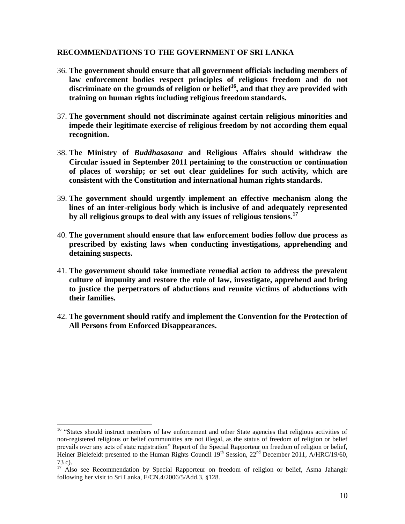#### **RECOMMENDATIONS TO THE GOVERNMENT OF SRI LANKA**

- 36. **The government should ensure that all government officials including members of law enforcement bodies respect principles of religious freedom and do not discriminate on the grounds of religion or belief<sup>16</sup>, and that they are provided with training on human rights including religious freedom standards.**
- 37. **The government should not discriminate against certain religious minorities and impede their legitimate exercise of religious freedom by not according them equal recognition.**
- 38. **The Ministry of** *Buddhasasana* **and Religious Affairs should withdraw the Circular issued in September 2011 pertaining to the construction or continuation of places of worship; or set out clear guidelines for such activity, which are consistent with the Constitution and international human rights standards.**
- 39. **The government should urgently implement an effective mechanism along the lines of an inter-religious body which is inclusive of and adequately represented by all religious groups to deal with any issues of religious tensions.<sup>17</sup>**
- 40. **The government should ensure that law enforcement bodies follow due process as prescribed by existing laws when conducting investigations, apprehending and detaining suspects.**
- 41. **The government should take immediate remedial action to address the prevalent culture of impunity and restore the rule of law, investigate, apprehend and bring to justice the perpetrators of abductions and reunite victims of abductions with their families.**
- 42. **The government should ratify and implement the Convention for the Protection of All Persons from Enforced Disappearances.**

<sup>&</sup>lt;sup>16</sup> "States should instruct members of law enforcement and other State agencies that religious activities of non-registered religious or belief communities are not illegal, as the status of freedom of religion or belief prevails over any acts of state registration" Report of the Special Rapporteur on freedom of religion or belief, Heiner Bielefeldt presented to the Human Rights Council  $19<sup>th</sup>$  Session, 22<sup>nd</sup> December 2011, A/HRC/19/60, 73 c).

<sup>&</sup>lt;sup>17</sup> Also see Recommendation by Special Rapporteur on freedom of religion or belief, Asma Jahangir following her visit to Sri Lanka, E/CN.4/2006/5/Add.3, §128.